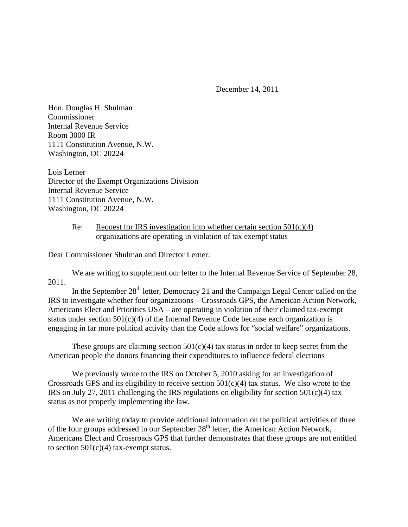December 14, 2011

Hon. Douglas H. Shulman Commissioner Internal Revenue Service Room 3000 IR 1111 Constitution Avenue, N.W. Washington, DC 20224

Lois Lerner Director of the Exempt Organizations Division Internal Revenue Service 1111 Constitution Avenue, N.W. Washington, DC 20224

## Re: Request for IRS investigation into whether certain section  $501(c)(4)$ organizations are operating in violation of tax exempt status

Dear Commissioner Shulman and Director Lerner:

 We are writing to supplement our letter to the Internal Revenue Service of September 28, 2011.

In the September  $28<sup>th</sup>$  letter, Democracy 21 and the Campaign Legal Center called on the IRS to investigate whether four organizations – Crossroads GPS, the American Action Network, Americans Elect and Priorities USA – are operating in violation of their claimed tax-exempt status under section  $501(c)(4)$  of the Internal Revenue Code because each organization is engaging in far more political activity than the Code allows for "social welfare" organizations.

These groups are claiming section  $501(c)(4)$  tax status in order to keep secret from the American people the donors financing their expenditures to influence federal elections

We previously wrote to the IRS on October 5, 2010 asking for an investigation of Crossroads GPS and its eligibility to receive section  $501(c)(4)$  tax status. We also wrote to the IRS on July 27, 2011 challenging the IRS regulations on eligibility for section 501(c)(4) tax status as not properly implementing the law.

 We are writing today to provide additional information on the political activities of three of the four groups addressed in our September 28<sup>th</sup> letter, the American Action Network, Americans Elect and Crossroads GPS that further demonstrates that these groups are not entitled to section  $501(c)(4)$  tax-exempt status.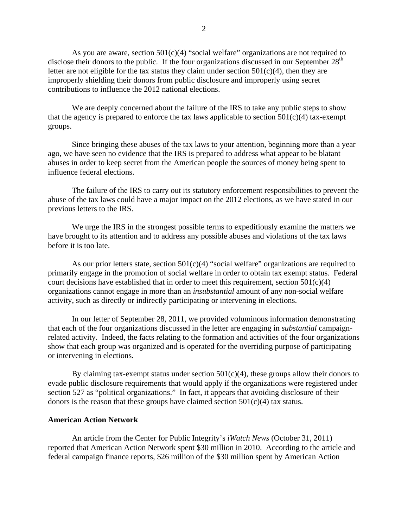As you are aware, section  $501(c)(4)$  "social welfare" organizations are not required to disclose their donors to the public. If the four organizations discussed in our September  $28<sup>th</sup>$ letter are not eligible for the tax status they claim under section  $501(c)(4)$ , then they are improperly shielding their donors from public disclosure and improperly using secret contributions to influence the 2012 national elections.

We are deeply concerned about the failure of the IRS to take any public steps to show that the agency is prepared to enforce the tax laws applicable to section  $501(c)(4)$  tax-exempt groups.

Since bringing these abuses of the tax laws to your attention, beginning more than a year ago, we have seen no evidence that the IRS is prepared to address what appear to be blatant abuses in order to keep secret from the American people the sources of money being spent to influence federal elections.

The failure of the IRS to carry out its statutory enforcement responsibilities to prevent the abuse of the tax laws could have a major impact on the 2012 elections, as we have stated in our previous letters to the IRS.

We urge the IRS in the strongest possible terms to expeditiously examine the matters we have brought to its attention and to address any possible abuses and violations of the tax laws before it is too late.

As our prior letters state, section  $501(c)(4)$  "social welfare" organizations are required to primarily engage in the promotion of social welfare in order to obtain tax exempt status. Federal court decisions have established that in order to meet this requirement, section  $501(c)(4)$ organizations cannot engage in more than an *insubstantial* amount of any non-social welfare activity, such as directly or indirectly participating or intervening in elections.

In our letter of September 28, 2011, we provided voluminous information demonstrating that each of the four organizations discussed in the letter are engaging in *substantial* campaignrelated activity. Indeed, the facts relating to the formation and activities of the four organizations show that each group was organized and is operated for the overriding purpose of participating or intervening in elections.

By claiming tax-exempt status under section  $501(c)(4)$ , these groups allow their donors to evade public disclosure requirements that would apply if the organizations were registered under section 527 as "political organizations." In fact, it appears that avoiding disclosure of their donors is the reason that these groups have claimed section  $501(c)(4)$  tax status.

## **American Action Network**

 An article from the Center for Public Integrity's *iWatch News* (October 31, 2011) reported that American Action Network spent \$30 million in 2010. According to the article and federal campaign finance reports, \$26 million of the \$30 million spent by American Action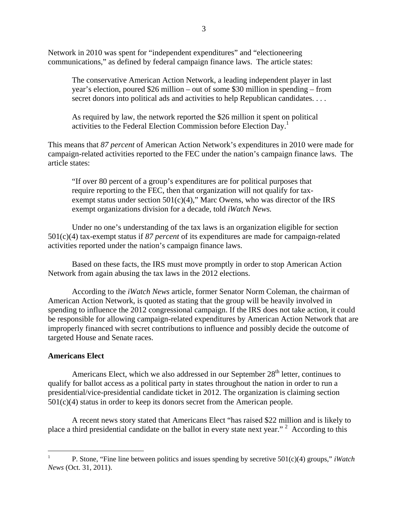Network in 2010 was spent for "independent expenditures" and "electioneering communications," as defined by federal campaign finance laws. The article states:

The conservative American Action Network, a leading independent player in last year's election, poured \$26 million – out of some \$30 million in spending – from secret donors into political ads and activities to help Republican candidates. . . .

As required by law, the network reported the \$26 million it spent on political activities to the Federal Election Commission before Election Day.<sup>1</sup>

This means that *87 percent* of American Action Network's expenditures in 2010 were made for campaign-related activities reported to the FEC under the nation's campaign finance laws. The article states:

"If over 80 percent of a group's expenditures are for political purposes that require reporting to the FEC, then that organization will not qualify for taxexempt status under section  $501(c)(4)$ ," Marc Owens, who was director of the IRS exempt organizations division for a decade, told *iWatch News.* 

Under no one's understanding of the tax laws is an organization eligible for section 501(c)(4) tax-exempt status if *87 percent* of its expenditures are made for campaign-related activities reported under the nation's campaign finance laws.

Based on these facts, the IRS must move promptly in order to stop American Action Network from again abusing the tax laws in the 2012 elections.

According to the *iWatch News* article, former Senator Norm Coleman, the chairman of American Action Network, is quoted as stating that the group will be heavily involved in spending to influence the 2012 congressional campaign. If the IRS does not take action, it could be responsible for allowing campaign-related expenditures by American Action Network that are improperly financed with secret contributions to influence and possibly decide the outcome of targeted House and Senate races.

## **Americans Elect**

 $\overline{a}$ 

Americans Elect, which we also addressed in our September  $28<sup>th</sup>$  letter, continues to qualify for ballot access as a political party in states throughout the nation in order to run a presidential/vice-presidential candidate ticket in 2012. The organization is claiming section 501(c)(4) status in order to keep its donors secret from the American people.

A recent news story stated that Americans Elect "has raised \$22 million and is likely to place a third presidential candidate on the ballot in every state next year."<sup>2</sup> According to this

<sup>1</sup> P. Stone, "Fine line between politics and issues spending by secretive 501(c)(4) groups," *iWatch News* (Oct. 31, 2011).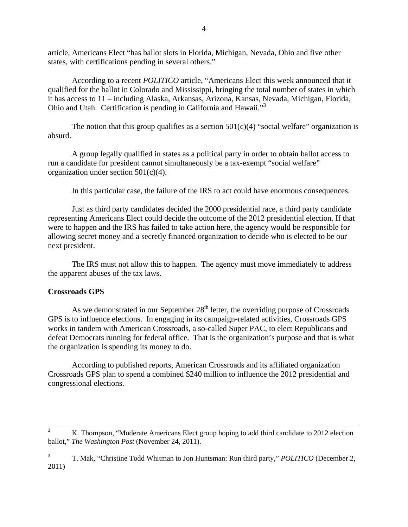article, Americans Elect "has ballot slots in Florida, Michigan, Nevada, Ohio and five other states, with certifications pending in several others."

According to a recent *POLITICO* article, "Americans Elect this week announced that it qualified for the ballot in Colorado and Mississippi, bringing the total number of states in which it has access to 11 – including Alaska, Arkansas, Arizona, Kansas, Nevada, Michigan, Florida, Ohio and Utah. Certification is pending in California and Hawaii."3

The notion that this group qualifies as a section  $501(c)(4)$  "social welfare" organization is absurd.

A group legally qualified in states as a political party in order to obtain ballot access to run a candidate for president cannot simultaneously be a tax-exempt "social welfare" organization under section 501(c)(4).

In this particular case, the failure of the IRS to act could have enormous consequences.

Just as third party candidates decided the 2000 presidential race, a third party candidate representing Americans Elect could decide the outcome of the 2012 presidential election. If that were to happen and the IRS has failed to take action here, the agency would be responsible for allowing secret money and a secretly financed organization to decide who is elected to be our next president.

 The IRS must not allow this to happen. The agency must move immediately to address the apparent abuses of the tax laws.

## **Crossroads GPS**

As we demonstrated in our September  $28<sup>th</sup>$  letter, the overriding purpose of Crossroads GPS is to influence elections. In engaging in its campaign-related activities, Crossroads GPS works in tandem with American Crossroads, a so-called Super PAC, to elect Republicans and defeat Democrats running for federal office. That is the organization's purpose and that is what the organization is spending its money to do.

According to published reports, American Crossroads and its affiliated organization Crossroads GPS plan to spend a combined \$240 million to influence the 2012 presidential and congressional elections.

 $\frac{1}{2}$ <sup>2</sup> K. Thompson, "Moderate Americans Elect group hoping to add third candidate to 2012 election ballot," *The Washington Post* (November 24, 2011).

<sup>3</sup> T. Mak, "Christine Todd Whitman to Jon Huntsman: Run third party," *POLITICO* (December 2, 2011)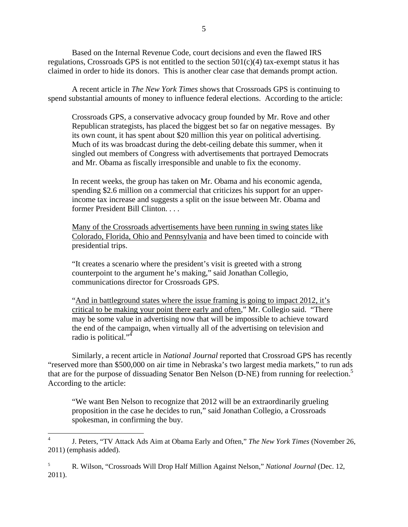Based on the Internal Revenue Code, court decisions and even the flawed IRS regulations, Crossroads GPS is not entitled to the section  $501(c)(4)$  tax-exempt status it has claimed in order to hide its donors. This is another clear case that demands prompt action.

A recent article in *The New York Times* shows that Crossroads GPS is continuing to spend substantial amounts of money to influence federal elections. According to the article:

Crossroads GPS, a conservative advocacy group founded by Mr. Rove and other Republican strategists, has placed the biggest bet so far on negative messages. By its own count, it has spent about \$20 million this year on political advertising. Much of its was broadcast during the debt-ceiling debate this summer, when it singled out members of Congress with advertisements that portrayed Democrats and Mr. Obama as fiscally irresponsible and unable to fix the economy.

In recent weeks, the group has taken on Mr. Obama and his economic agenda, spending \$2.6 million on a commercial that criticizes his support for an upperincome tax increase and suggests a split on the issue between Mr. Obama and former President Bill Clinton. . . .

Many of the Crossroads advertisements have been running in swing states like Colorado, Florida, Ohio and Pennsylvania and have been timed to coincide with presidential trips.

"It creates a scenario where the president's visit is greeted with a strong counterpoint to the argument he's making," said Jonathan Collegio, communications director for Crossroads GPS.

"And in battleground states where the issue framing is going to impact 2012, it's critical to be making your point there early and often," Mr. Collegio said. "There may be some value in advertising now that will be impossible to achieve toward the end of the campaign, when virtually all of the advertising on television and radio is political."<sup>4</sup>

 Similarly, a recent article in *National Journal* reported that Crossroad GPS has recently "reserved more than \$500,000 on air time in Nebraska's two largest media markets," to run ads that are for the purpose of dissuading Senator Ben Nelson (D-NE) from running for reelection.<sup>5</sup> According to the article:

"We want Ben Nelson to recognize that 2012 will be an extraordinarily grueling proposition in the case he decides to run," said Jonathan Collegio, a Crossroads spokesman, in confirming the buy.

 $\frac{1}{4}$  J. Peters, "TV Attack Ads Aim at Obama Early and Often," *The New York Times* (November 26, 2011) (emphasis added).

<sup>5</sup> R. Wilson, "Crossroads Will Drop Half Million Against Nelson," *National Journal* (Dec. 12, 2011).